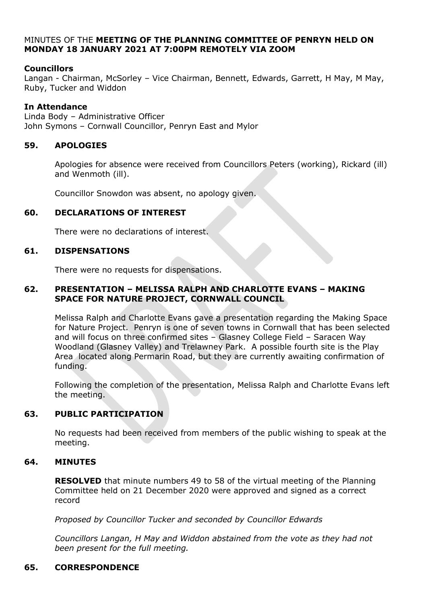### MINUTES OF THE **MEETING OF THE PLANNING COMMITTEE OF PENRYN HELD ON MONDAY 18 JANUARY 2021 AT 7:00PM REMOTELY VIA ZOOM**

# **Councillors**

Langan - Chairman, McSorley – Vice Chairman, Bennett, Edwards, Garrett, H May, M May, Ruby, Tucker and Widdon

# **In Attendance**

Linda Body – Administrative Officer John Symons – Cornwall Councillor, Penryn East and Mylor

# **59. APOLOGIES**

Apologies for absence were received from Councillors Peters (working), Rickard (ill) and Wenmoth (ill).

Councillor Snowdon was absent, no apology given.

### **60. DECLARATIONS OF INTEREST**

There were no declarations of interest.

### **61. DISPENSATIONS**

There were no requests for dispensations.

### **62. PRESENTATION – MELISSA RALPH AND CHARLOTTE EVANS – MAKING SPACE FOR NATURE PROJECT, CORNWALL COUNCIL**

Melissa Ralph and Charlotte Evans gave a presentation regarding the Making Space for Nature Project. Penryn is one of seven towns in Cornwall that has been selected and will focus on three confirmed sites – Glasney College Field – Saracen Way Woodland (Glasney Valley) and Trelawney Park. A possible fourth site is the Play Area located along Permarin Road, but they are currently awaiting confirmation of funding.

Following the completion of the presentation, Melissa Ralph and Charlotte Evans left the meeting.

# **63. PUBLIC PARTICIPATION**

No requests had been received from members of the public wishing to speak at the meeting.

# **64. MINUTES**

**RESOLVED** that minute numbers 49 to 58 of the virtual meeting of the Planning Committee held on 21 December 2020 were approved and signed as a correct record

*Proposed by Councillor Tucker and seconded by Councillor Edwards*

*Councillors Langan, H May and Widdon abstained from the vote as they had not been present for the full meeting.*

# **65. CORRESPONDENCE**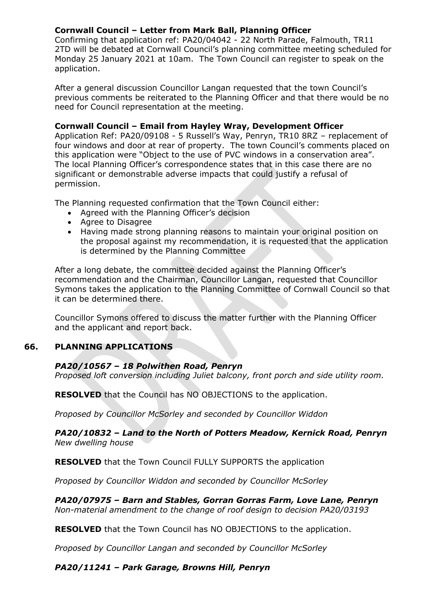# **Cornwall Council – Letter from Mark Ball, Planning Officer**

Confirming that application ref: PA20/04042 - 22 North Parade, Falmouth, TR11 2TD will be debated at Cornwall Council's planning committee meeting scheduled for Monday 25 January 2021 at 10am. The Town Council can register to speak on the application.

After a general discussion Councillor Langan requested that the town Council's previous comments be reiterated to the Planning Officer and that there would be no need for Council representation at the meeting.

### **Cornwall Council – Email from Hayley Wray, Development Officer**

Application Ref: PA20/09108 - 5 Russell's Way, Penryn, TR10 8RZ – replacement of four windows and door at rear of property. The town Council's comments placed on this application were "Object to the use of PVC windows in a conservation area". The local Planning Officer's correspondence states that in this case there are no significant or demonstrable adverse impacts that could justify a refusal of permission.

The Planning requested confirmation that the Town Council either:

- Agreed with the Planning Officer's decision
- Agree to Disagree
- Having made strong planning reasons to maintain your original position on the proposal against my recommendation, it is requested that the application is determined by the Planning Committee

After a long debate, the committee decided against the Planning Officer's recommendation and the Chairman, Councillor Langan, requested that Councillor Symons takes the application to the Planning Committee of Cornwall Council so that it can be determined there.

Councillor Symons offered to discuss the matter further with the Planning Officer and the applicant and report back.

# **66. PLANNING APPLICATIONS**

# *PA20/10567 – 18 Polwithen Road, Penryn*

*Proposed loft conversion including Juliet balcony, front porch and side utility room.*

**RESOLVED** that the Council has NO OBJECTIONS to the application.

*Proposed by Councillor McSorley and seconded by Councillor Widdon*

### *PA20/10832 – Land to the North of Potters Meadow, Kernick Road, Penryn New dwelling house*

**RESOLVED** that the Town Council FULLY SUPPORTS the application

*Proposed by Councillor Widdon and seconded by Councillor McSorley*

*PA20/07975 – Barn and Stables, Gorran Gorras Farm, Love Lane, Penryn Non-material amendment to the change of roof design to decision PA20/03193*

**RESOLVED** that the Town Council has NO OBJECTIONS to the application.

*Proposed by Councillor Langan and seconded by Councillor McSorley*

# *PA20/11241 – Park Garage, Browns Hill, Penryn*